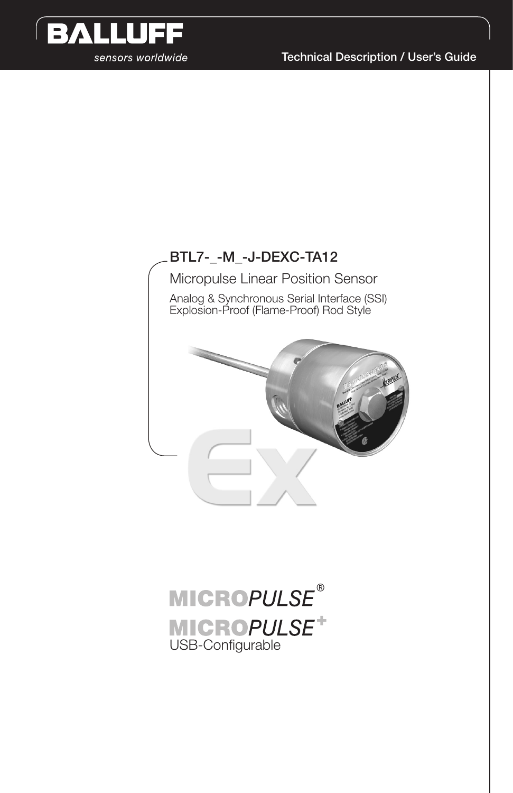

Technical Description / User's Guide

### BTL7-\_-M\_-J-DEXC-TA12

Micropulse Linear Position Sensor Analog & Synchronous Serial Interface (SSI) Explosion-Proof (Flame-Proof) Rod Style



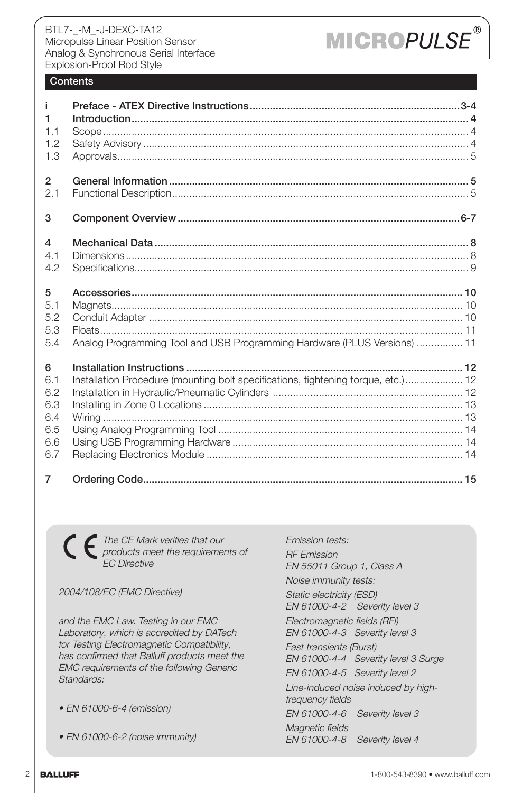# **MICROPULSE**

### **Contents**

| j.             |                                                                                   |
|----------------|-----------------------------------------------------------------------------------|
| 1              |                                                                                   |
| 1.1            |                                                                                   |
| 1.2            |                                                                                   |
| 1.3            |                                                                                   |
| $\overline{2}$ |                                                                                   |
| 2.1            |                                                                                   |
| 3              |                                                                                   |
| 4              |                                                                                   |
| 4.1            |                                                                                   |
| 4.2            |                                                                                   |
| 5              |                                                                                   |
| 5.1            |                                                                                   |
| 5.2            |                                                                                   |
| 5.3            |                                                                                   |
| 5.4            | Analog Programming Tool and USB Programming Hardware (PLUS Versions)  11          |
| 6              |                                                                                   |
| 6.1            | Installation Procedure (mounting bolt specifications, tightening torque, etc.) 12 |
| 6.2            |                                                                                   |
| 6.3            |                                                                                   |
| 6.4            |                                                                                   |
| 6.5            |                                                                                   |
| 6.6            |                                                                                   |
| 6.7            |                                                                                   |
| $\overline{7}$ |                                                                                   |

The CE Mark verifies that our  $\big($ products meet the requirements of EC Directive

2004/108/EC (EMC Directive)

and the EMC Law. Testing in our EMC Laboratory, which is accredited by DATech for Testing Electromagnetic Compatibility, has confirmed that Balluff products meet the EMC requirements of the following Generic Standards:

- EN 61000-6-4 (emission)
- EN 61000-6-2 (noise immunity)

Emission tests: RF Emission EN 55011 Group 1, Class A Noise immunity tests: Static electricity (ESD) EN 61000-4-2 Severity level 3 Electromagnetic fields (RFI) EN 61000-4-3 Severity level 3 Fast transients (Burst) EN 61000-4-4 Severity level 3 Surge EN 61000-4-5 Severity level 2 Line-induced noise induced by highfrequency fields EN 61000-4-6 Severity level 3 Magnetic fields EN 61000-4-8 Severity level 4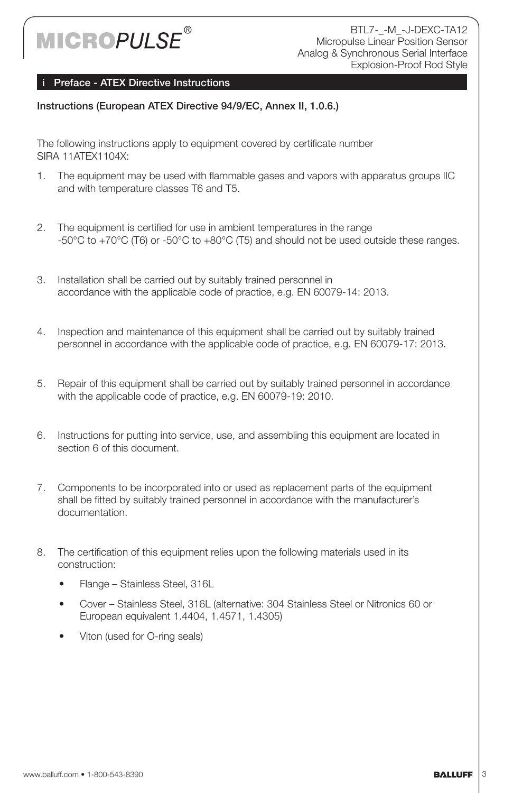

### Preface - ATEX Directive Instructions

### Instructions (European ATEX Directive 94/9/EC, Annex II, 1.0.6.)

The following instructions apply to equipment covered by certificate number SIRA 11ATEX1104X:

- 1. The equipment may be used with flammable gases and vapors with apparatus groups IIC and with temperature classes T6 and T5.
- 2. The equipment is certified for use in ambient temperatures in the range -50°C to +70°C (T6) or -50°C to +80°C (T5) and should not be used outside these ranges.
- 3. Installation shall be carried out by suitably trained personnel in accordance with the applicable code of practice, e.g. EN 60079-14: 2013.
- 4. Inspection and maintenance of this equipment shall be carried out by suitably trained personnel in accordance with the applicable code of practice, e.g. EN 60079-17: 2013.
- 5. Repair of this equipment shall be carried out by suitably trained personnel in accordance with the applicable code of practice, e.g. EN 60079-19: 2010.
- 6. Instructions for putting into service, use, and assembling this equipment are located in section 6 of this document.
- 7. Components to be incorporated into or used as replacement parts of the equipment shall be fitted by suitably trained personnel in accordance with the manufacturer's documentation.
- 8. The certification of this equipment relies upon the following materials used in its construction:
	- Flange Stainless Steel, 316L
	- Cover Stainless Steel, 316L (alternative: 304 Stainless Steel or Nitronics 60 or European equivalent 1.4404, 1.4571, 1.4305)
	- Viton (used for O-ring seals)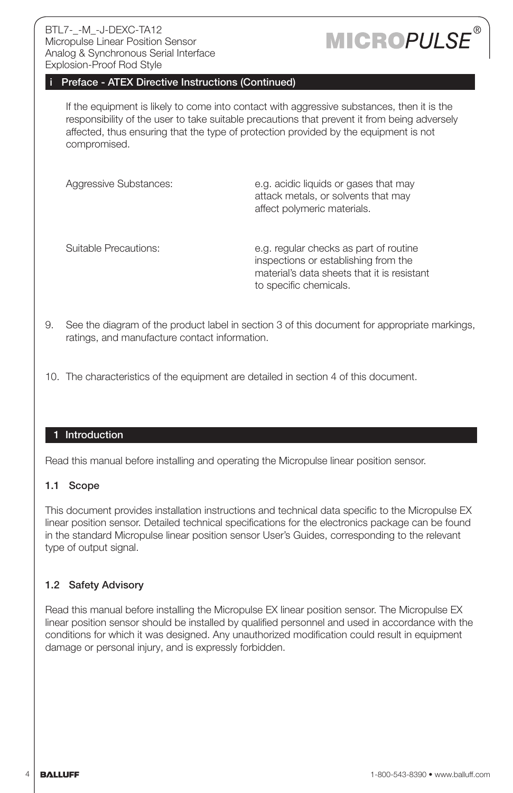# **MICROPULSI**

### Preface - ATEX Directive Instructions (Continued)

If the equipment is likely to come into contact with aggressive substances, then it is the responsibility of the user to take suitable precautions that prevent it from being adversely affected, thus ensuring that the type of protection provided by the equipment is not compromised.

Aggressive Substances: e.g. acidic liquids or gases that may attack metals, or solvents that may affect polymeric materials. Suitable Precautions: e.g. regular checks as part of routine inspections or establishing from the material's data sheets that it is resistant

9. See the diagram of the product label in section 3 of this document for appropriate markings, ratings, and manufacture contact information.

to specific chemicals.

10. The characteristics of the equipment are detailed in section 4 of this document.

#### 1 Introduction

Read this manual before installing and operating the Micropulse linear position sensor.

#### 1.1 Scope

This document provides installation instructions and technical data specific to the Micropulse EX linear position sensor. Detailed technical specifications for the electronics package can be found in the standard Micropulse linear position sensor User's Guides, corresponding to the relevant type of output signal.

### 1.2 Safety Advisory

Read this manual before installing the Micropulse EX linear position sensor. The Micropulse EX linear position sensor should be installed by qualified personnel and used in accordance with the conditions for which it was designed. Any unauthorized modification could result in equipment damage or personal injury, and is expressly forbidden.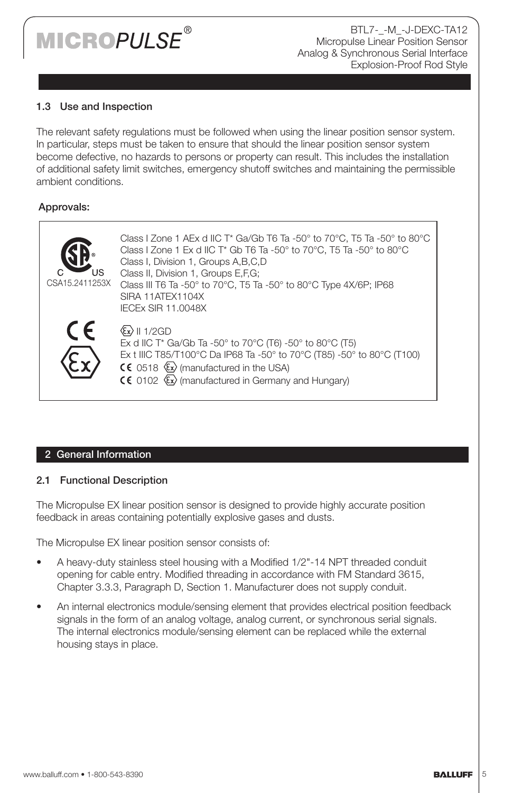### **IICROPULSE®**

BTL7-\_-M\_-J-DEXC-TA12 Micropulse Linear Position Sensor Analog & Synchronous Serial Interface Explosion-Proof Rod Style

### 1.3 Use and Inspection

The relevant safety regulations must be followed when using the linear position sensor system. In particular, steps must be taken to ensure that should the linear position sensor system become defective, no hazards to persons or property can result. This includes the installation of additional safety limit switches, emergency shutoff switches and maintaining the permissible ambient conditions.

### Approvals:

| CSA15.2411253X | Class I Zone 1 AEx d IIC T* Ga/Gb T6 Ta -50 $^{\circ}$ to 70 $^{\circ}$ C, T5 Ta -50 $^{\circ}$ to 80 $^{\circ}$ C<br>Class I Zone 1 Ex d IIC T* Gb T6 Ta -50° to 70°C, T5 Ta -50° to 80°C<br>Class I, Division 1, Groups A, B, C, D<br>Class II, Division 1, Groups E,F,G;<br>Class III T6 Ta -50° to 70°C, T5 Ta -50° to 80°C Type 4X/6P; IP68<br>SIRA 11ATEX1104X<br><b>IECEX SIR 11.0048X</b> |
|----------------|---------------------------------------------------------------------------------------------------------------------------------------------------------------------------------------------------------------------------------------------------------------------------------------------------------------------------------------------------------------------------------------------------|
| CE             | $\langle \xi \cdot \rangle$    1/2GD<br>Ex d IIC T* Ga/Gb Ta -50 $^{\circ}$ to 70 $^{\circ}$ C (T6) -50 $^{\circ}$ to 80 $^{\circ}$ C (T5)<br>Ex t IIIC T85/T100°C Da IP68 Ta -50° to 70°C (T85) -50° to 80°C (T100)<br>CC 0518 $\langle x \rangle$ (manufactured in the USA)<br>$\mathsf{CE}$ 0102 $\langle x \rangle$ (manufactured in Germany and Hungary)                                     |

### 2 General Information

### 2.1 Functional Description

The Micropulse EX linear position sensor is designed to provide highly accurate position feedback in areas containing potentially explosive gases and dusts.

The Micropulse EX linear position sensor consists of:

- A heavy-duty stainless steel housing with a Modified 1/2"-14 NPT threaded conduit opening for cable entry. Modified threading in accordance with FM Standard 3615, Chapter 3.3.3, Paragraph D, Section 1. Manufacturer does not supply conduit.
- An internal electronics module/sensing element that provides electrical position feedback signals in the form of an analog voltage, analog current, or synchronous serial signals. The internal electronics module/sensing element can be replaced while the external housing stays in place.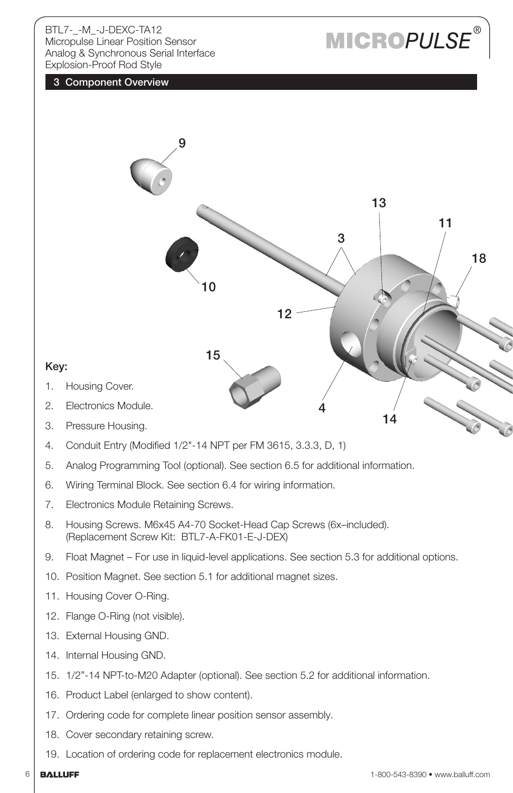# **MICROPULSE**

### 3 Component Overview



- 12. Flange O-Ring (not visible).
- 13. External Housing GND.
- 14. Internal Housing GND.
- 15. 1/2"-14 NPT-to-M20 Adapter (optional). See section 5.2 for additional information.
- 16. Product Label (enlarged to show content).
- 17. Ordering code for complete linear position sensor assembly.
- 18. Cover secondary retaining screw.
- 19. Location of ordering code for replacement electronics module.
-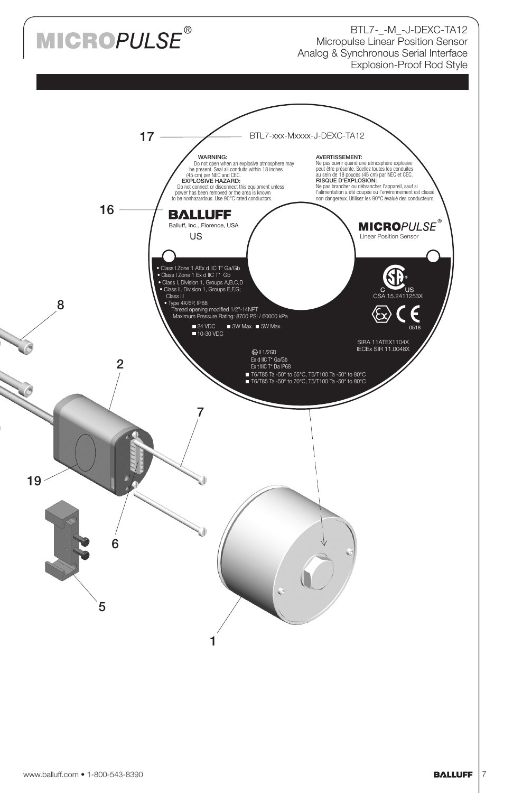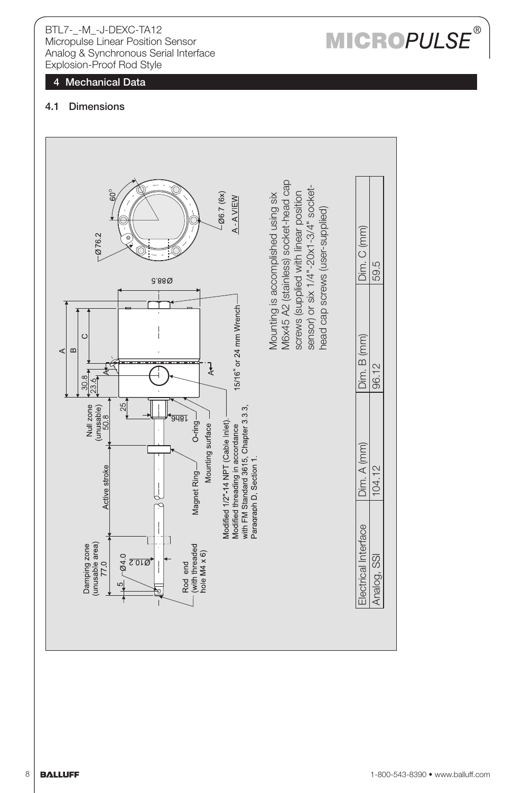# 4 Mechanical Data<br>4.1 Dimensions



### **MICROPULSE**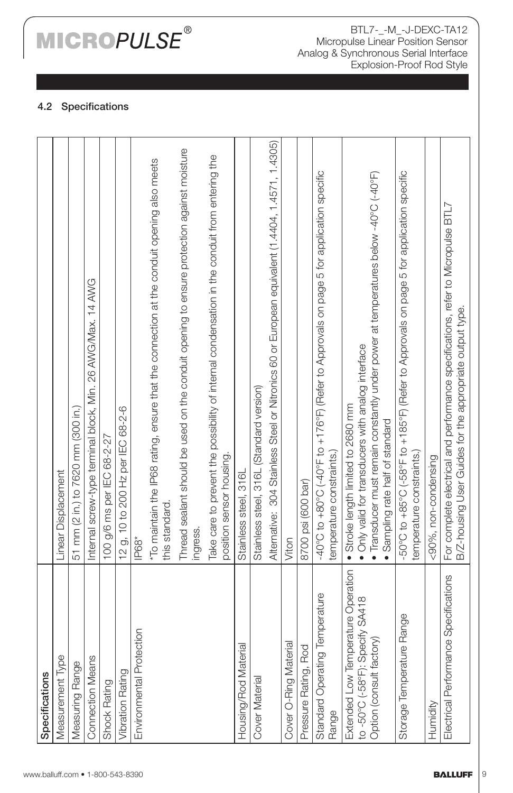# **MICROPULSE®**

BTL7-\_-M\_-J-DEXC-TA12 Micropulse Linear Position Sensor Analog & Synchronous Serial Interface Explosion-Proof Rod Style

### 4.2 Specifications

| Specifications                          |                                                                                                                                              |
|-----------------------------------------|----------------------------------------------------------------------------------------------------------------------------------------------|
| Measurement Type                        | Linear Displacement                                                                                                                          |
| Measuring Range                         | 51 mm (2 in.) to 7620 mm (300 in.)                                                                                                           |
| <b>Connection Means</b>                 | Internal screw-type terminal block, Min. 26 AWG/Max. 14 AWG                                                                                  |
| Shock Rating                            | 100 g/6 ms per IEC 68-2-27                                                                                                                   |
| <b>Vibration Rating</b>                 | 12 g, 10 to 200 Hz per IEC 68-2-6                                                                                                            |
| Environmental Protection                | IP68*                                                                                                                                        |
|                                         | "To maintain the IP68 rating, ensure that the connection at the conduit opening also meets<br>this standard.                                 |
|                                         | Thread sealant should be used on the conduit opening to ensure protection against moisture<br>ingress.                                       |
|                                         | Take care to prevent the possibility of internal condensation in the conduit from entering the<br>position sensor housing.                   |
| Housing/Rod Material                    | Stainless steel, 316L                                                                                                                        |
| <b>Cover Material</b>                   | Stainless steel, 316L (Standard version)                                                                                                     |
|                                         | Alternative: 304 Stainless Steel or Nitronics 60 or European equivalent (1 4404, 1 4571, 1 4305)                                             |
| Cover O-Ring Material                   | Viton                                                                                                                                        |
| Pressure Rating, Rod                    | 8700 psi (600 bar)                                                                                                                           |
| Standard Operating Temperature<br>Range | -40°C to +80°C (-40°F to +176°F) (Refer to Approvals on page 5 for application specific<br>temperature constraints.)                         |
| Extended Low Temperature Operation      | · Stroke length limited to 2680 mm                                                                                                           |
| to -50°C (-58°F): Specify SA418         | . Only valid for transducers with analog interface                                                                                           |
| Option (consult factory)                | • Transducer must remain constantly under power at temperatures below-40°C (-40°F)<br>Sampling rate half of standard                         |
| Storage Temperature Range               | 50°C to +85°C (-58°F to +185°F) (Refer to Approvals on page 5 for application specific                                                       |
|                                         | temperature constraints.)                                                                                                                    |
| Humidity                                | <90%, non-condensing                                                                                                                         |
| Electrical Performance Specifications   | For complete electrical and performance specifications, refer to Micropulse BTL7<br>B/Z-housing User Guides for the appropriate output type. |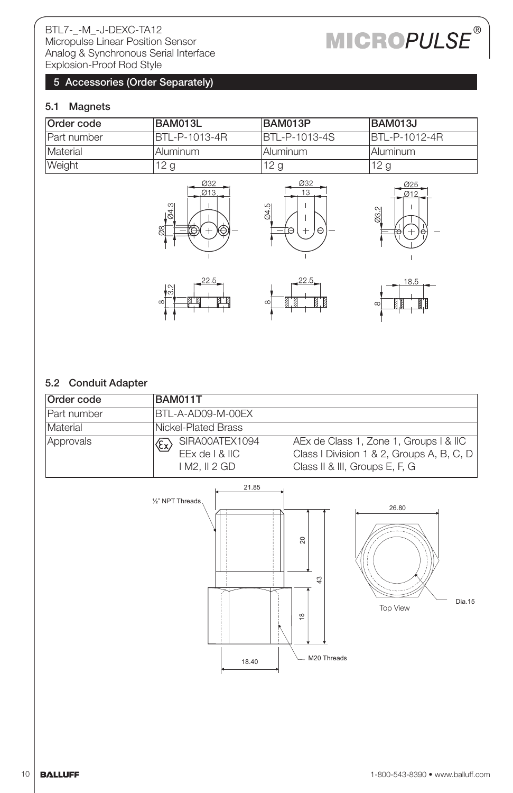# **MICROPULSE®**

### 5 Accessories (Order Separately)

### 5.1 Magnets

| Order code  | BAM013L        | BAM013P              | BAM013J               |
|-------------|----------------|----------------------|-----------------------|
| Part number | IBTL-P-1013-4R | <b>BTL-P-1013-4S</b> | <b>IBTL-P-1012-4R</b> |
| Material    | IAluminum      | l Aluminum           | I Aluminum            |
| Weight      | 12 g           | 12 g                 | 12g                   |









### 5.2 Conduit Adapter

| Order code                      | BAM011T                                                                                                                                                                                                   |  |
|---------------------------------|-----------------------------------------------------------------------------------------------------------------------------------------------------------------------------------------------------------|--|
| Part number                     | IBTL-A-AD09-M-00EX                                                                                                                                                                                        |  |
| Material<br>Nickel-Plated Brass |                                                                                                                                                                                                           |  |
| Approvals                       | $ \mathcal{E}_\mathbf{x}\rangle$ SIRA00ATEX1094<br>AEx de Class 1, Zone 1, Groups   & IIC<br>EEx de   & IIC<br>Class I Division 1 & 2, Groups A, B, C, D<br>Class II & III, Groups E, F, G<br>IM2. II2 GD |  |

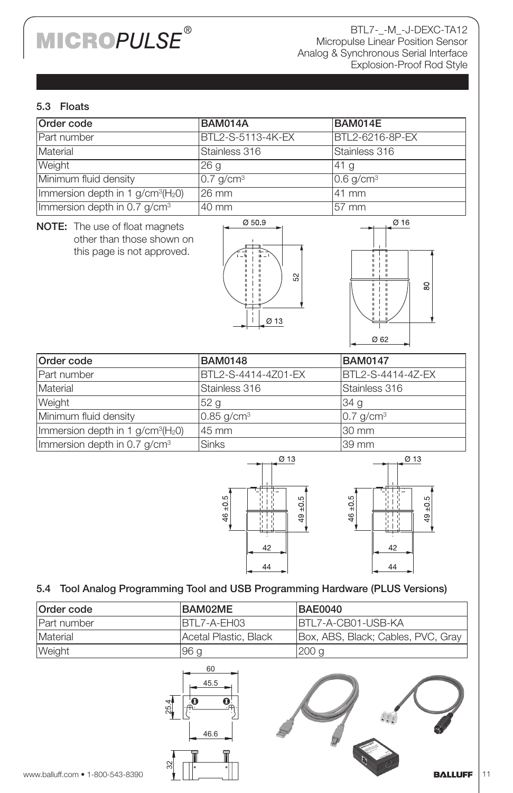# **MICROPULSE®**

BTL7-\_-M\_-J-DEXC-TA12 Micropulse Linear Position Sensor Analog & Synchronous Serial Interface Explosion-Proof Rod Style

### 5.3 Floats

| Order code                              | <b>BAM014A</b>          | BAM014E                 |
|-----------------------------------------|-------------------------|-------------------------|
| <b>Part number</b>                      | BTL2-S-5113-4K-EX       | BTL2-6216-8P-EX         |
| Material                                | Stainless 316           | Stainless 316           |
| Weight                                  | 26q                     | 141 a                   |
| Minimum fluid density                   | $0.7$ g/cm <sup>3</sup> | $0.6$ g/cm <sup>3</sup> |
| Immersion depth in 1 $g/cm^{3}(H_{2}O)$ | l26 mm                  | 41 mm                   |
| Immersion depth in 0.7 $q/cm3$          | 40 mm                   | 157 mm                  |

NOTE: The use of float magnets other than those shown on this page is not approved.





| Order code                               | <b>BAM0148</b>              | <b>BAM0147</b>        |
|------------------------------------------|-----------------------------|-----------------------|
| Part number                              | <b>IBTL2-S-4414-4Z01-EX</b> | BTL2-S-4414-4Z-EX     |
| Material                                 | Stainless 316               | Stainless 316         |
| <b>Weight</b>                            | 52 g                        | 34 g                  |
| Minimum fluid density                    | $0.85$ g/cm <sup>3</sup>    | $ 0.7 \text{ q/cm}^3$ |
| Immersion depth in 1 $g/cm^{3}(H_{2}O)$  | 145 mm                      | l30 mm                |
| Immersion depth in 0.7 g/cm <sup>3</sup> | <b>Sinks</b>                | l39 mm                |



### 5.4 Tool Analog Programming Tool and USB Programming Hardware (PLUS Versions)

| Order code          | BAM02ME               | <b>BAE0040</b>                     |
|---------------------|-----------------------|------------------------------------|
| <b>IPart number</b> | IBTL7-A-EH03          | IBTL7-A-CB01-USB-KA                |
| <b>Material</b>     | Acetal Plastic. Black | Box, ABS, Black; Cables, PVC, Gray |
| <b>Weight</b>       | 96 a                  | l200 a                             |

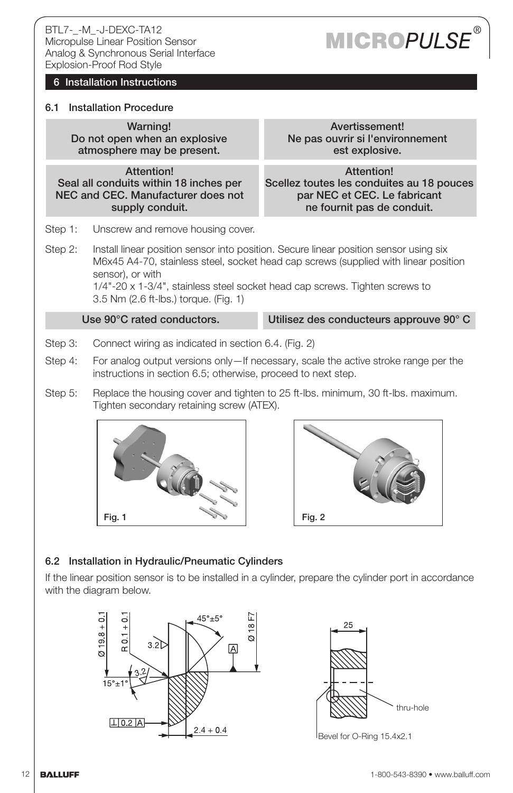### 6 Installation Instructions

### 6.1 Installation Procedure

Warning! Do not open when an explosive atmosphere may be present.

Attention! Seal all conduits within 18 inches per NEC and CEC. Manufacturer does not supply conduit.

Step 1: Unscrew and remove housing cover.

Step 2: Install linear position sensor into position. Secure linear position sensor using six M6x45 A4-70, stainless steel, socket head cap screws (supplied with linear position sensor), or with

1/4"-20 x 1-3/4", stainless steel socket head cap screws. Tighten screws to 3.5 Nm (2.6 ft-lbs.) torque. (Fig. 1)

Use 90°C rated conductors. Utilisez des conducteurs approuve 90° C

- Step 3: Connect wiring as indicated in section 6.4. (Fig. 2)
- Step 4: For analog output versions only—If necessary, scale the active stroke range per the instructions in section 6.5; otherwise, proceed to next step.
- Step 5: Replace the housing cover and tighten to 25 ft-lbs. minimum, 30 ft-lbs. maximum. Tighten secondary retaining screw (ATEX).





### 6.2 Installation in Hydraulic/Pneumatic Cylinders

If the linear position sensor is to be installed in a cylinder, prepare the cylinder port in accordance with the diagram below.





Bevel for O-Ring 15.4x2.1

### Avertissement! Ne pas ouvrir si l'environnement est explosive.

Attention! Scellez toutes les conduites au 18 pouces par NEC et CEC. Le fabricant ne fournit pas de conduit.

**MICROPULSE**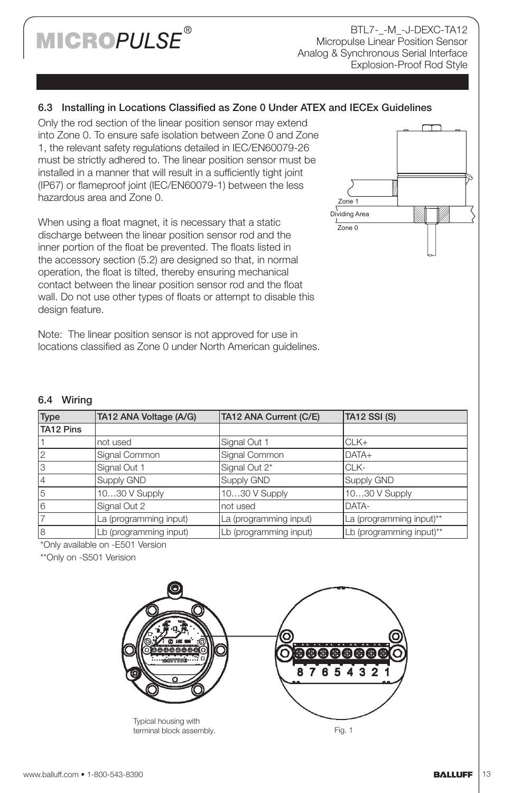### **MICROPULSE®**

BTL7-\_-M\_-J-DEXC-TA12 Micropulse Linear Position Sensor Analog & Synchronous Serial Interface Explosion-Proof Rod Style

### 6.3 Installing in Locations Classified as Zone 0 Under ATEX and IECEx Guidelines

Only the rod section of the linear position sensor may extend into Zone 0. To ensure safe isolation between Zone 0 and Zone 1, the relevant safety regulations detailed in IEC/EN60079-26 must be strictly adhered to. The linear position sensor must be installed in a manner that will result in a sufficiently tight joint (IP67) or flameproof joint (IEC/EN60079-1) between the less hazardous area and Zone 0.

When using a float magnet, it is necessary that a static discharge between the linear position sensor rod and the inner portion of the float be prevented. The floats listed in the accessory section (5.2) are designed so that, in normal operation, the float is tilted, thereby ensuring mechanical contact between the linear position sensor rod and the float wall. Do not use other types of floats or attempt to disable this design feature.

Note: The linear position sensor is not approved for use in locations classified as Zone 0 under North American guidelines.



#### 6.4 Wiring

| Type           | TA12 ANA Voltage (A/G) | TA12 ANA Current (C/E) | TA12 SSI (S)             |
|----------------|------------------------|------------------------|--------------------------|
| TA12 Pins      |                        |                        |                          |
|                | not used               | Signal Out 1           | $CLK+$                   |
| $\overline{2}$ | Signal Common          | Signal Common          | DATA+                    |
| lЗ             | Signal Out 1           | Signal Out 2*          | ICLK-                    |
| $\overline{4}$ | Supply GND             | Supply GND             | Supply GND               |
| 15             | 1030 V Supply          | 1030 V Supply          | 1030 V Supply            |
| l6             | Signal Out 2           | not used               | DATA-                    |
|                | La (programming input) | La (programming input) | La (programming input)** |
| l8             | Lb (programming input) | Lb (programming input) | Lb (programming input)** |

\*Only available on -E501 Version

\*\*Only on -S501 Verision

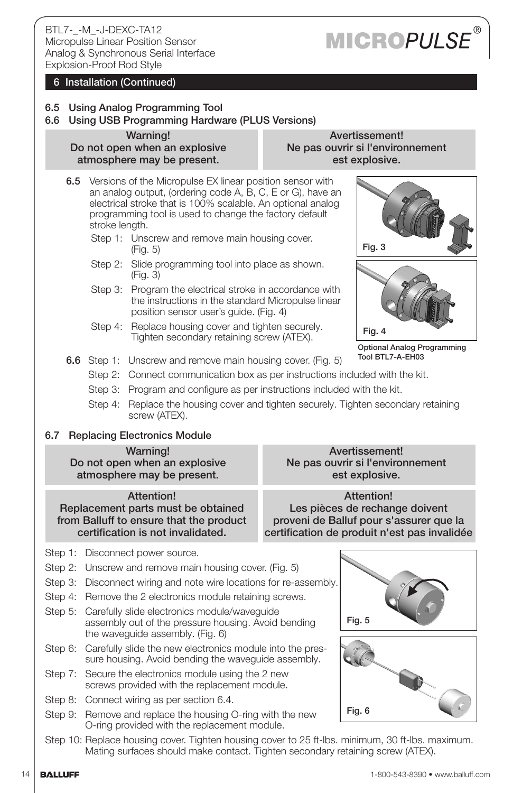# **MICROPULSE**

### 6 Installation (Continued)

### 6.5 Using Analog Programming Tool

6.6 Using USB Programming Hardware (PLUS Versions)

Warning! Do not open when an explosive atmosphere may be present.

Avertissement! Ne pas ouvrir si l'environnement est explosive.

- 6.5 Versions of the Micropulse EX linear position sensor with an analog output, (ordering code A, B, C, E or G), have an electrical stroke that is 100% scalable. An optional analog programming tool is used to change the factory default stroke length.
	- Step 1: Unscrew and remove main housing cover. (Fig. 5)
	- Step 2: Slide programming tool into place as shown. (Fig. 3)
	- Step 3: Program the electrical stroke in accordance with the instructions in the standard Micropulse linear position sensor user's guide. (Fig. 4)
	- Step 4: Replace housing cover and tighten securely. Tighten secondary retaining screw (ATEX).



Optional Analog Programming Tool BTL7-A-EH03

- 6.6 Step 1: Unscrew and remove main housing cover. (Fig. 5)
	- Step 2: Connect communication box as per instructions included with the kit.
	- Step 3: Program and configure as per instructions included with the kit.
	- Step 4: Replace the housing cover and tighten securely. Tighten secondary retaining screw (ATEX).

### 6.7 Replacing Electronics Module

#### Warning!

Do not open when an explosive atmosphere may be present.

### Attention!

Replacement parts must be obtained from Balluff to ensure that the product certification is not invalidated.

Step 1: Disconnect power source.

- Step 2: Unscrew and remove main housing cover. (Fig. 5)
- Step 3: Disconnect wiring and note wire locations for re-assembly.
- Step 4: Remove the 2 electronics module retaining screws.
- Step 5: Carefully slide electronics module/waveguide assembly out of the pressure housing. Avoid bending the waveguide assembly. (Fig. 6)
- Step 6: Carefully slide the new electronics module into the pressure housing. Avoid bending the waveguide assembly.
- Step 7: Secure the electronics module using the 2 new screws provided with the replacement module.
- Step 8: Connect wiring as per section 6.4.
- Step 9: Remove and replace the housing O-ring with the new O-ring provided with the replacement module.

Avertissement! Ne pas ouvrir si l'environnement est explosive.

Attention! Les pièces de rechange doivent proveni de Balluf pour s'assurer que la certification de produit n'est pas invalidée



Step 10: Replace housing cover. Tighten housing cover to 25 ft-lbs. minimum, 30 ft-lbs. maximum. Mating surfaces should make contact. Tighten secondary retaining screw (ATEX).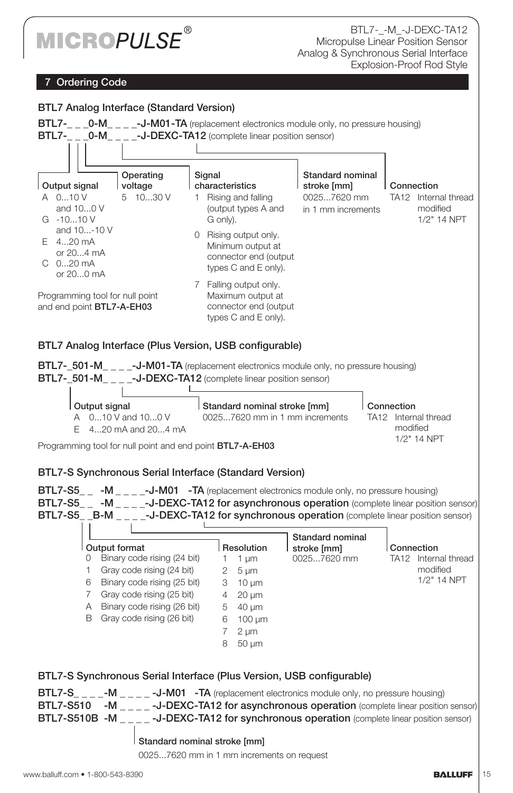

### **Ordering Code**